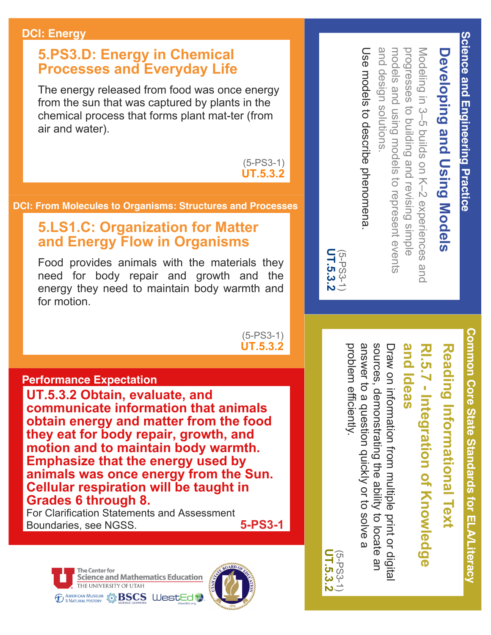#### **DCI: Energy**

### **5.PS3.D: Energy in Chemical Processes and Everyday Life**

The energy released from food was once energy from the sun that was captured by plants in the chemical process that forms plant mat-ter (from air and water).

> $(5-PS3-1)$ **UT.5.3.2**

#### **DCI: From Molecules to Organisms: Structures and Processes**

### **5.LS1.C: Organization for Matter and Energy Flow in Organisms**

Food provides animals with the materials they need for body repair and growth and the energy they need to maintain body warmth and for motion.

> $(5-PS3-1)$ **UT.5.3.2**

#### **Performance Expectation**

**UT.5.3.2 Obtain, evaluate, and communicate information that animals obtain energy and matter from the food they eat for body repair, growth, and motion and to maintain body warmth. Emphasize that the energy used by animals was once energy from the Sun. Cellular respiration will be taught in Grades 6 through 8.** 

For Clarification Statements and Assessment Boundaries, see NGSS. **5-PS3-1**



and and design models and using models to represent events models and using models to represent events progresses to build Modeling in 3-5 builds on K-2 experiences and Modeling in 3–5 builds on K–2 experiences and **Developing and Using Models Developing and Using Models** design solutions solutions. ing and revisi ng simple

**Science and Engineering Practice**

Science and Engineering Practice

Use models to describe phenomena Use models to describe phenomena.

**UT.5.3.2** (5-PS3-1)<br>**UT.5.3.2** 

> **Common Core State Standards for ELA/Literacy** Common Core State Standards for ELA/Literac)

# **Reading Informational Text**

## and ldeas **and Ideas RI.5.7 Integration of Knowledge**  RI.5.7 - Integration of Knowledge

problem efficiently. answer to a question quickly or to solve a sources, demonstrating the ability to locate an Draw on information multiple print or digita problem efficiently. answer to a question quickly or to sources, demonstrating the ability to locate an Draw on information from multiple print or digital

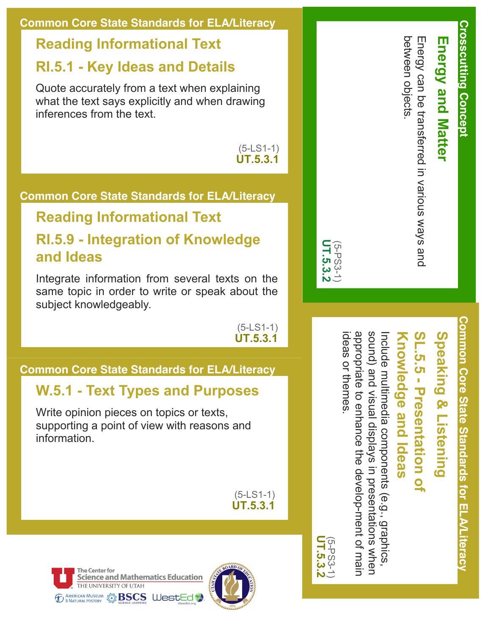### **Common Core State Standards for ELA/Literacy**

### **Reading Informational Text**

### **RI.5.1 Key Ideas and Details**

Quote accurately from a text when explaining what the text says explicitly and when drawing inferences from the text.

> $(5-LS1-1)$ **UT.5.3.1**

### **Common Core State Standards for ELA/Literacy**

### **Reading Informational Text**

### **RI.5.9 Integration of Knowledge and Ideas**

Integrate information from several texts on the same topic in order to write or speak about the subject knowledgeably.

> $(5-LS1-1)$ **UT.5.3.1**

### **Common Core State Standards for ELA/Literacy**

### **W.5.1 Text Types and Purposes**

Write opinion pieces on topics or texts, supporting a point of view with reasons and information.

> $(5-LS1-1)$ **UT.5.3.1**





| between objects. | Energy can be transferred in various ways and | <b>Energy and Matter</b> |
|------------------|-----------------------------------------------|--------------------------|
|                  |                                               |                          |

**Crosscutting Concept**

**Crosscutting Concept** 



## **Speaking & Listening Speaking & Listening**

## **SL.5.5 Presentation of**  .5.5 - Presentation of

## **Knowledge and Ideas** nowledge and ldeas

appropriate to enhance the develop-ment of main ideas or themes ideas or themes. appropriate to enhance the development of main sound) and visual displays in presentations when sound) and visual Include multimedia components (e.g., graphics, nclude multimedia components displays in presentations when (e.g., graphics,

**UT.5.3.2** (5-PS3-1)<br>**UT.5.3.2**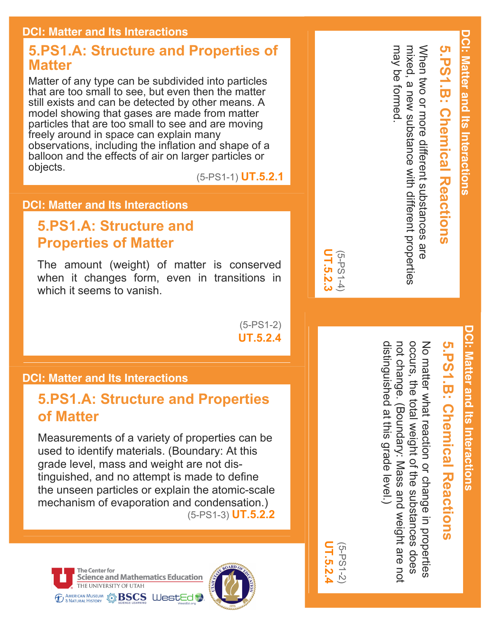### **DCI: Matter and Its Interactions**

### **5.PS1.A: Structure and Properties of Matter**

Matter of any type can be subdivided into particles that are too small to see, but even then the matter still exists and can be detected by other means. A model showing that gases are made from matter particles that are too small to see and are moving freely around in space can explain many observations, including the inflation and shape of a balloon and the effects of air on larger particles or objects.

(5PS11) **UT.5.2.1**

### **DCI: Matter and Its Interactions**

### **5.PS1.A: Structure and Properties of Matter**

The amount (weight) of matter is conserved when it changes form, even in transitions in which it seems to vanish.

> $(5-PS1-2)$ **UT.5.2.4**

### **DCI: Matter and Its Interactions**

### **5.PS1.A: Structure and Properties of Matter**

Measurements of a variety of properties can be used to identify materials. (Boundary: At this grade level, mass and weight are not distinguished, and no attempt is made to define the unseen particles or explain the atomic-scale mechanism of evaporation and condensation.) (5PS13) **UT.5.2.2**





| .<br>თ<br>i | ÖΠ<br>ŢŪ<br>ၯ |  |
|-------------|---------------|--|

 $2.4$ 

**UT.5.2.3** (5PS14)

JT.5.2.3

**5.PS1.B: Chemical Reactions**

**C.P.C. Cremical Reactions** 

weight of the substances does

weight are not

distinguished at this grade level.)

distinguished at this grade level.)

## **5.PS1.B: Chemical Reactions** .B: Chemica **Reactions**

**DCI: Matter and Its Interactions**

**DCI: Matter and Its Interactions** 

When two or more different substances are<br>mixed, a new substance with different properties When two or more different substances are mixed, a new substance with different properties not change. (Boundary: Mass and weight are not occurs, the total weight of the substances does No matter what reaction or change in properties not change. (Boundary: Mass and occurs, the total No matter what reaction or change in properties

may be formed.

may be formed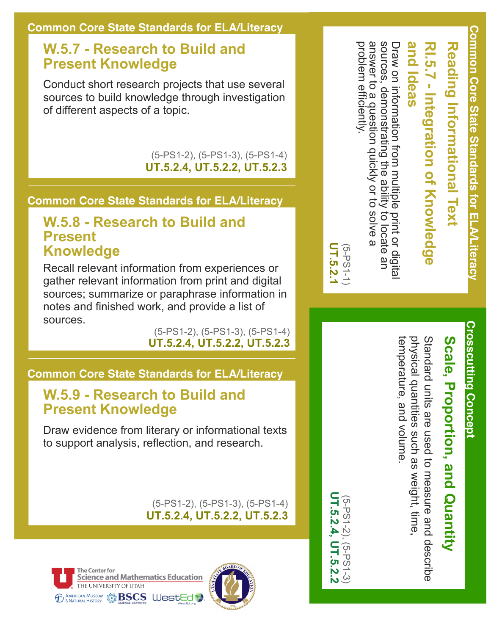### **W.5.7 Research to Build and Present Knowledge**

Conduct short research projects that use several sources to build knowledge through investigation of different aspects of a topic.

> (5-PS1-2), (5-PS1-3), (5-PS1-4) **UT.5.2.4, UT.5.2.2, UT.5.2.3**

### **Common Core State Standards for ELA/Literacy**

### **W.5.8 Research to Build and Present Knowledge**

Recall relevant information from experiences or gather relevant information from print and digital sources; summarize or paraphrase information in notes and finished work, and provide a list of sources.

(5-PS1-2), (5-PS1-3), (5-PS1-4) **UT.5.2.4, UT.5.2.2, UT.5.2.3**

### **Common Core State Standards for ELA/Literacy**

### **W.5.9 Research to Build and Present Knowledge**

Draw evidence from literary or informational texts to support analysis, reflection, and research.

> (5-PS1-2), (5-PS1-3), (5-PS1-4) **UT.5.2.4, UT.5.2.2, UT.5.2.3**





Draw on information from multiple<br>sources, demonstrating the ability<br>answer to a question quickly or to problem efficiently. problem efficiently. answer to a question quickly or to sources, demonstrating the ability to locate an Draw on information from multiple print or digital **and Ideas RI.5.7 Integration of Knowledge**  and ldeas RI.5.7 - Integration of Knowledge e print or digital<br>y to locate an<br>o solve a

**UT.5.2.1** (5PS11)

**UT.5.2.4, UT.5.2.2** (5PS12), (5PS13)

 $(5 - P S1 - 2)$ IT.5.2.4,

 $(5-PS1-3)$ **T.5.2.2** 

**Crosscutting Concept Crosscutting Concept**

# Scale, Proportion, and Quantity **Scale, Proportion, and Quantity**

temperature, and volume. physical quantities such as weight, time physical quantities Standard units are used to measure and describe Standard units are used to measure and describe temperature, and volume such as weight, time,

**Common Core State Standards for ELA/Literacy** Common Core State Standards for ELA/Literacy

**Reading Informational Text**

**Reading Informational Text**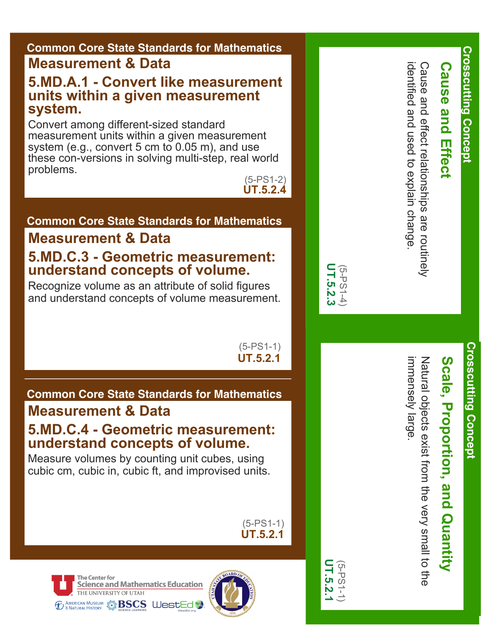### **Common Core State Standards for Mathematics**

### **Measurement & Data**

### **5.MD.A.1 Convert like measurement units within a given measurement system.**

Convert among different-sized standard measurement units within a given measurement system (e.g., convert 5 cm to 0.05 m), and use these con-versions in solving multi-step, real world problems.

 $(5-PS1-2)$ **UT.5.2.4**

### **Common Core State Standards for Mathematics**

### **Measurement & Data 5.MD.C.3 Geometric measurement: understand concepts of volume.**

Recognize volume as an attribute of solid figures and understand concepts of volume measurement.

> $(5-PS1-1)$ **UT.5.2.1**

**UT.5.2.3** (5PS14)

UT.5.2.3

**UT.5.2.1** (5PS11)

### **Common Core State Standards for Mathematics**

### **Measurement & Data**

### **5.MD.C.4 Geometric measurement: understand concepts of volume.**

Measure volumes by counting unit cubes, using cubic cm, cubic in, cubic ft, and improvised units.

> $(5-PS1-1)$ **UT.5.2.1**

**The Center for Science and Mathematics Education** THE UNIVERSITY OF UTAH *ED & AMERICAN MUSEUM* SESCS WestEd



identified and used to explain change identified and used to explain change.

Cause and effect relationships are routinely

effect relationships are routinely

Cause and

**Crosscutting Concept**

**Crosscutting Concept** 

**Cause and Effect**

**Cause and Effect** 

# Scale, Proportion, and Quantity **Scale, Proportion, and Quantity**

mmensely large immensely large. Natural collects exist from the very small to the Natural objects exist from the very small to the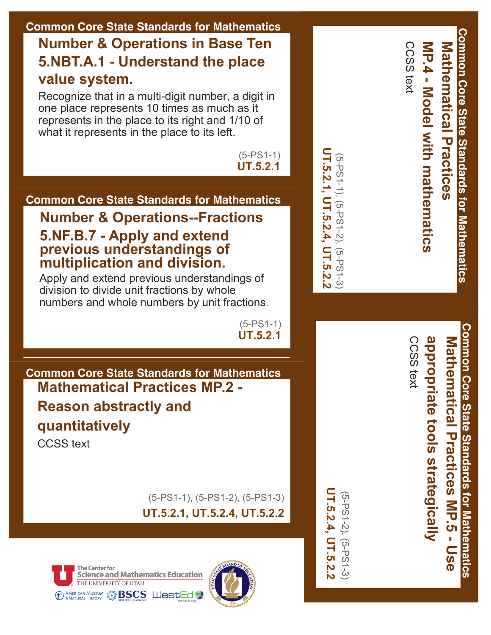### **Common Core State Standards for Mathematics Number & Operations in Base Ten 5.NBT.A.1 Understand the place value system.**

Recognize that in a multi-digit number, a digit in one place represents 10 times as much as it represents in the place to its right and 1/10 of what it represents in the place to its left.

> $(5-PS1-1)$ **UT.5.2.1**

### **Common Core State Standards for Mathematics**

### **Number & Operations--Fractions 5.NF.B.7 Apply and extend previous understandings of multiplication and division.**

Apply and extend previous understandings of division to divide unit fractions by whole numbers and whole numbers by unit fractions.

> $(5-PS1-1)$ **UT.5.2.1**

**Common Core State Standards for Mathematics Mathematical Practices MP.2 Reason abstractly and quantitatively**

CCSS text

(5-PS1-1), (5-PS1-2), (5-PS1-3) **UT.5.2.1, UT.5.2.4, UT.5.2.2**





UT.5.2.4, UT.5.2.2 **UT.5.2.4, UT.5.2.2** (5-PS1-2), (5-PS1-3) (5PS12), (5PS13)

(5PS11), (5PS12), (5PS13) **UT.5.2.1, UT.5.2.4, UT.5.2.2**

UT.5.2.1, UT.5.2.4, UT.5.2.2 (5-PS1-1), (5-PS1-2), (5-PS1-3

Common Core State Standards for Mathematics **Common Core State Standards for Mathematics** Mathematical Practices **Mathematical Practices**

**MP.4 Model** 

CCSS text

CCSS text

**with mathematics**

MP.4 - Model with mathematics

Common Core State Standards for Mathematics **Common Core State Standards for Mathematics** appropriate tools strategically **appropriate tools strategically Mathematical Practices** Mathematical Practices NP.5 -**MP.5 Use**  DSe

CCSS text CCSS text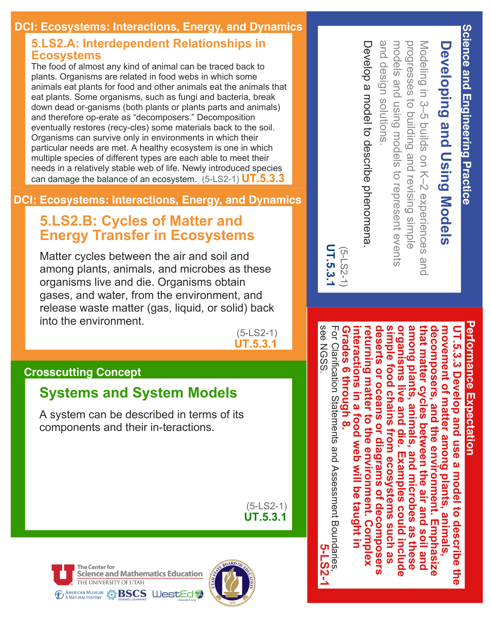### **DCI: Ecosystems: Interactions, Energy, and Dynamics**

### **5.LS2.A: Interdependent Relationships in Ecosystems**

The food of almost any kind of animal can be traced back to plants. Organisms are related in food webs in which some animals eat plants for food and other animals eat the animals that eat plants. Some organisms, such as fungi and bacteria, break down dead or-ganisms (both plants or plants parts and animals) and therefore op-erate as "decomposers." Decomposition eventually restores (recy-cles) some materials back to the soil. Organisms can survive only in environments in which their particular needs are met. A healthy ecosystem is one in which multiple species of different types are each able to meet their needs in a relatively stable web of life. Newly introduced species can damage the balance of an ecosystem. (5-LS2-1) **UT.5.3.3** 

### **DCI: Ecosystems: Interactions, Energy, and Dynamics**

### **5.LS2.B: Cycles of Matter and Energy Transfer in Ecosystems**

Matter cycles between the air and soil and among plants, animals, and microbes as these organisms live and die. Organisms obtain gases, and water, from the environment, and release waste matter (gas, liquid, or solid) back into the environment.

 $(5 - LS2 - 1)$ **UT.5.3.1**

### **Crosscutting Concept**

### **Systems and System Models**

A system can be described in terms of its components and their in-teractions.

> $(5-LS2-1)$ **UT.5.3.1**

**The Center for Science and Mathematics Education** THE UNIVERSITY OF UTAH **TO A AMERICAN MUSEUM STREED PRESCS WESTED** 



and design solutions and design models and using models to represent events models and using models to represent events progresses to building and revising simple progresses to building and Modeling in 3-5 builds on K-2 experiences and ng in 3–5 buil solutions. ds on K–2 experiences and revising simple

# Develop a model to describe phenomena Develop a model to describe phenomena.



see NGSS

see NGSS

.

**5-LS2-1**

### **Performance Expectation** erformance Expectation

For Clarification Statements and Assessment Boundaries **Grades 6 through 8.**  deserts or oceans or diagrams of decomposers **deserts or oceans or diagrams of decomposers**  simple food chains from ecosystems such as **simple food chains from ecosystems such as**  organisms live and die. Examples could include **organisms live and die. Examples could include**  among plants, animals, and microbes as these **among plants, animals, and microbes as these**  that matter cycles between the air and soil and **that matter cycles between the air and soil and**  decomposers, and the environment. Emphasize **decomposers, and the environment. Emphasize movement of matter among plants, animals,**  For Clarification Statements and Assessment Boundaries, Grades 6 through 8. **interactions in a food web will be taught in returning matter to the environment. Complex**  movement of matter among plants, animals, UT.5.3.3 Develop and use a model to describe the **UT.5.3.3 Develop and use a model to describe the**  returning matter to the environment. Complex nteractions in a food web will be taught in

**Science and Engineering Practice Science and Engineering Practice**

**Developing and Using Models**

**Developing and Using Models**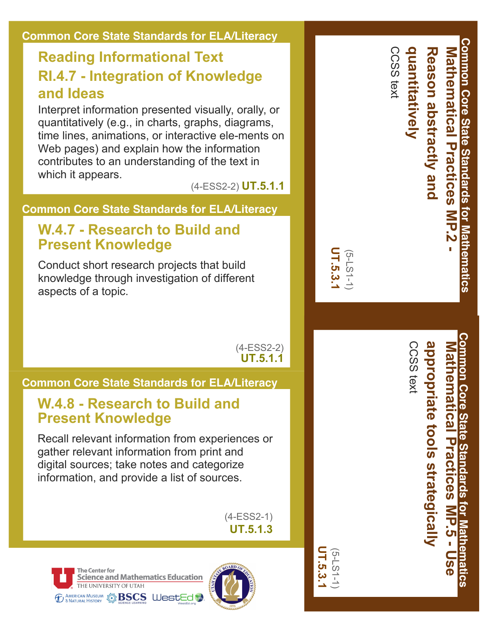#### **Common Core State Standards for ELA/Literacy** Common Core State Standards for Mathematics **Common Core State Standards for Mathematics** CCSS text CCSS text **quantitatively** quantitatively **Reason abstractly and Mathematical Practices** Reason abstractly and **Mathematical Reading Informational Text RI.4.7 Integration of Knowledge and Ideas** Interpret information presented visually, orally, or quantitatively (e.g., in charts, graphs, diagrams, time lines, animations, or interactive ele-ments on **Practices** Web pages) and explain how the information contributes to an understanding of the text in which it appears. (4ESS22) **UT.5.1.1 Common Core State Standards for ELA/Literacy MP.2 W.4.7 Research to Build and Present Knowledge UT.5.3.1** (5LS11) Conduct short research projects that build knowledge through investigation of different aspects of a topic. **Common Core State Standards for Mathematics** Common Core State Standards CCSS text CCSS text appropriate tools strategically **appropriate tools strategically Mathematical Practices Mathematical Practices**  $(4-ESS2-2)$ **UT.5.1.1 Common Core State Standards for ELA/Literacy W.4.8 Research to Build and Present Knowledge** Recall relevant information from experiences or gather relevant information from print and digital sources; take notes and categorize information, and provide a list of sources. tor Z **MP.5 Use**   $(4-ESS2-1)$  $\overline{\mathbf{v}}$ **UT.5.1.3** lathema Î. **UT.5.3.1** (5LS11)<u>რ</u> **The Center for rics Science and Mathematics Education** THE UNIVERSITY OF UTAH *ED AMERICAN MUSEUM* S **BSCS WestEd**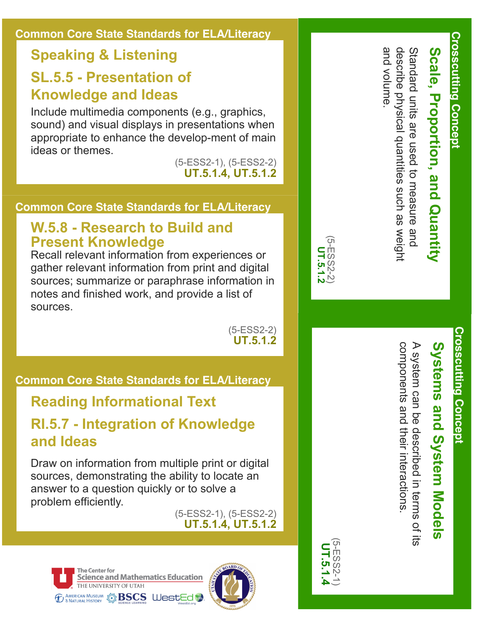### **Common Core State Standards for ELA/Literacy**

### **Speaking & Listening**

### **SL.5.5 Presentation of Knowledge and Ideas**

Include multimedia components (e.g., graphics, sound) and visual displays in presentations when appropriate to enhance the develop-ment of main ideas or themes.

(5ESS21), (5ESS22) **UT.5.1.4, UT.5.1.2**

### **Common Core State Standards for ELA/Literacy**

### **W.5.8 Research to Build and Present Knowledge**

Recall relevant information from experiences or gather relevant information from print and digital sources; summarize or paraphrase information in notes and finished work, and provide a list of sources.

> $(5-ESS2-2)$ **UT.5.1.2**

### **Common Core State Standards for ELA/Literacy**

### **Reading Informational Text RI.5.7 Integration of Knowledge and Ideas**

Draw on information from multiple print or digital sources, demonstrating the ability to locate an answer to a question quickly or to solve a problem efficiently.

(5ESS21), (5ESS22) **UT.5.1.4, UT.5.1.2**





Standard units are used to measure and<br>describe physical quantities such as weight and volume and volume. describe physical quantities Standard units are used to measure and **Scale, Proportion, and Quantity** Scale, Proportion, and Quantity such as weight

**Crosscutting Concept**

Crosscutting Concept



# Systems and System Models **Systems and System Models**

components and their interactions A system can be described in terms of its A system can be described in terms of its components and their interactions.



(5ESS22) **UT.5.1.2**

 $2-E$ SSS-5 UT.5.1.2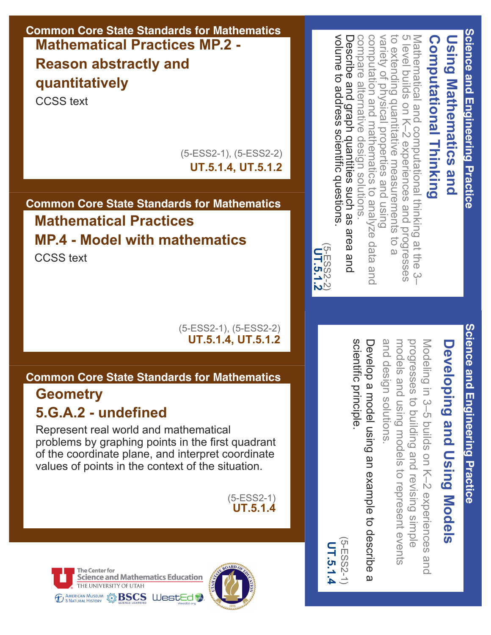### **Common Core State Standards for Mathematics Mathematical Practices MP.2 Reason abstractly and quantitatively**

CCSS text

(5ESS21), (5ESS22) **UT.5.1.4, UT.5.1.2**

### **Common Core State Standards for Mathematics Mathematical Practices MP.4 Model with mathematics**

CCSS text

#### (5ESS21), (5ESS22) **UT.5.1.4, UT.5.1.2**

### **Common Core State Standards for Mathematics**

### **Geometry 5.G.A.2 undefined**

Represent real world and mathematical problems by graphing points in the first quadrant of the coordinate plane, and interpret coordinate values of points in the context of the situation.

> (5ESS21) **UT.5.1.4**





Mathematical and computational thinking<br>5 level builds on K-2 experiences and pr volume to address scientific questions Describe and graph quantities such as area and compare alternative design solutions computation and mathematics to analyze data and variety of physical properties and using to extending quantitative measurements volume to address Describe and graph quantities such as area and compare alternative design solutions. computation and mathematics to analyze data and variety of physical to extending quantitative measurements to a 5 level buil Mathematical and computational thinking at the 3– **Computational Thinking Computational Thinking Using Mathematics Using Mathematics and**  level builds on K-2 experiences ds on K–2 experiences and progresses properties and using scientific questions. pue progresses **b** g at the (5ESS22) **UT.5.1.2**  $\overline{\omega}$  $\varphi$ 

## Science and Engineering Practice **Science and Engineering Practice**

**Science and Engineering Practice**

Science and Engineering Practice

# **Developing and Using Models Developing and Using Models**

and design solutions and design models and using models progresses to building and revising simple progresses to building and Modeling in 3-5 builds on K-2 experiences models and using models ng in 3–5 buil solutions. ds on K–2 experiences and to represent events to represent events revising simple pue :

scientific principle Develop a model using an example to describe scientific principle. Develop a model using an example to describe a  $\overline{\omega}$ 

(5ESS21) 5-ESS2-1 UT.5.1.4 **UT.5.1.4**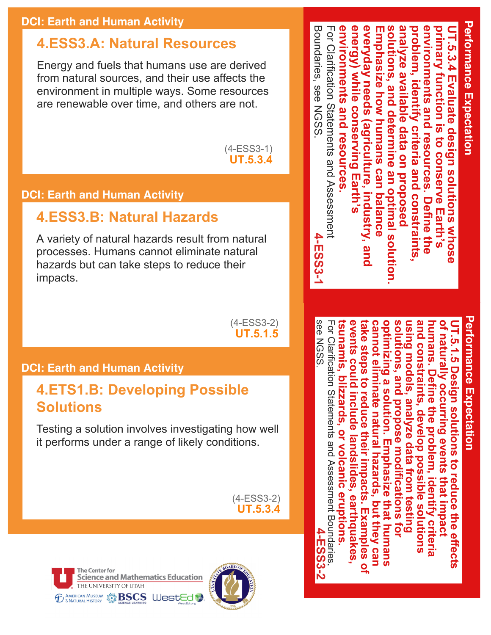### **DCI: Earth and Human Activity**

### **4.ESS3.A: Natural Resources**

Energy and fuels that humans use are derived from natural sources, and their use affects the environment in multiple ways. Some resources are renewable over time, and others are not.

> $(4-ESS3-1)$ **UT.5.3.4**

### **DCI: Earth and Human Activity**

### **4.ESS3.B: Natural Hazards**

A variety of natural hazards result from natural processes. Humans cannot eliminate natural hazards but can take steps to reduce their impacts.

> $(4-ESS3-2)$ **UT.5.1.5**

### **DCI: Earth and Human Activity**

### **4.ETS1.B: Developing Possible Solutions**

Testing a solution involves investigating how well it performs under a range of likely conditions.

> $(4-ESS3-2)$ **UT.5.3.4**





**Performance Expectation Performance Expectation** Boundaries, see NGSS For Clarification Statements and Assessment environments **solutions, and determine an optimal solution.**  Boundaries, see NGSS. For Clarification Statements and Assessment **environments and resources.**  energy) while conserving Ea **energy) while conserving Earth's everyday needs (agriculture, industry, and**  everyday needs **Emphasize how humans can balance**  solutions, and determine an optimal solution analyze available data on proposed **analyze available data on proposed problem, identify criteria and constraints, environments and resources. Define the primary function is to conserve Earth's UT.5.3.4 Evaluate design solutions whose**  problem, identify criteria and constraints nvironments and resources. T.5.3.4 Evaluate design solutions whose mphasize how humans can balance imary function is to conserve Earth's and resources (agriculture, **Industry** Define the 4-ESS3-1 **4-ESS3-1**

## **Performance Expectation Performance Expectatior**

see NGSS see NGSS. For Clarification Statements and Assessment Boundaries **tsunamis, blizzards, or volcanic eruptions. events could include landslides, earthquakes, take steps to reduce their impacts. Examples of solutions, and propose modifications for**  and constraints, **and constraints, develop possible solutions**  For Clarification Statements and Assessment Boundaries, **cannot eliminate natural hazards, but they can optimizing a solution. Emphasize that humans**  optimizing a solution. Emphasize solutions, and propose modifications for **using models, analyze data from testing humans. Define the problem, identify criteria of naturally occurring events that impact UT.5.1.5 Design solutions to reduce the effects**  sunamis, ents could include ake steps to reduce their impacts. Examples cannot eliminate natura using models, analyze data from testing umans. Define the problem, naturally occurring events that impact **F.5.1.5 Design solutions to reduce the effects blizzards**, develop possible solutions or volcanic eruptions. landslides **hazards, but they can** identify earthquakes that humans **criteria 4-ESS3-2**4-ESS3 Q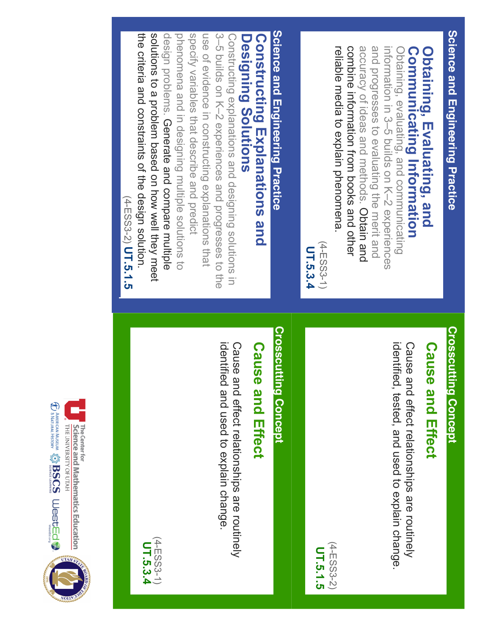Science and Engineering Practice **Science and Engineering Practice**

### **Communicating Obtaining, Evaluating, and**  Communicating Information Obtaining, Evaluating, and **Information**

combine information from books and other accuracy of ideas and methods. Obtain and and progresses to evaluating the merit and information in 3-5 polida on K-N experiences reliable media to explain phenomena combine information from books and other accuracy of i and progresses to evaluating the merit and Obtaining, evaluating, and communicating reliable media information in 3–5 builds on K–2 Obtaining, evaluating, and communicating to explain phenomena. and methods. Obtain and experiences

 $(4-ESS3-1)$ (4ESS31) UT.5.3.4 **UT.5.3.4**

# Science and Engineering Practice **Science and Engineering Practice**

### **Constructing Explanations and Designing Solutions Designing Constructing Solutions Explanations and**

solutions to a problem based on how well they meet specify variables that describe and predict the criteria and constraints of the design solution design problems. Generate and compare multiple phenomena and in designing multiple solutions to use of evidence in constructing explanations that 3-5 builds on K-2 experiences and progresses to the the criteria and constraints of the design solution. Constructing explanations and designing solutions in solutions to a problem based on design problems. phenomena and in specify variables that describe and predict use of evidence in constructing explanations that 3–5 builds on K–2 experiences and progresses to the Constructing explanations and designing solutions in Generate and compare multiple designing multiple solutions to how well they meet

### (4-ESS3-2) UT.5.1.5 (4ESS32) **UT.5.1.5**

## **Crosscutting Concept Crosscutting Concept**

## **Cause and Effect Cause and Effect**

identified, tested, and used to explain change. Cause and effect relationships are routinely identified, tested, and Cause and effect relationships are routinely used to explain change.



## **Crosscutting Concept Crosscutting Concept**

## **Cause and Effect Cause and Effect**

identified and used to explain change. Cause and effect relationships are routinely identified and used to Cause and effect relationships are routinely explain change.



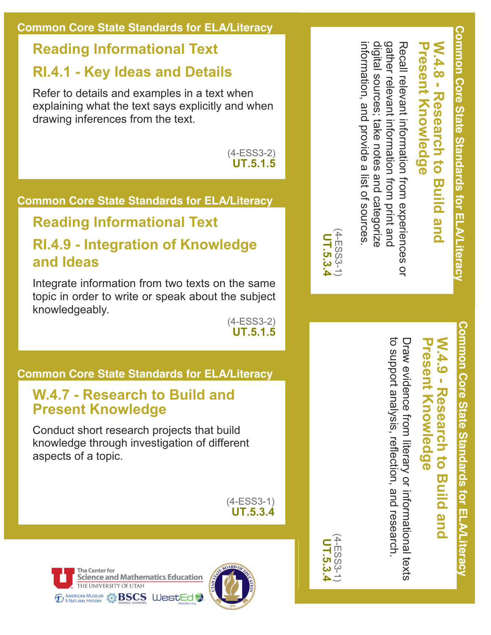### **Reading Informational Text RI.4.1 Key Ideas and Details**

Refer to details and examples in a text when explaining what the text says explicitly and when drawing inferences from the text.

> $(4-ESS3-2)$ **UT.5.1.5**

### **Common Core State Standards for ELA/Literacy**

### **Reading Informational Text**

### **RI.4.9 Integration of Knowledge and Ideas**

Integrate information from two texts on the same topic in order to write or speak about the subject knowledgeably.

 $(4-ESS3-2)$ **UT.5.1.5**

### **Common Core State Standards for ELA/Literacy**

### **W.4.7 Research to Build and Present Knowledge**

Conduct short research projects that build knowledge through investigation of different aspects of a topic.

> $(4-ESS3-1)$ **UT.5.3.4**





digital sources; take notes and categorize gather relevant information from print and Recall relevant information from experiences digital sources; take notes and categorize gather relevant information from print and Recall relevant information from experiences or **Present Knowledge**

 $\overline{Q}$ 

information, and provide a list of sources.

information, and provide a list of sources



(4ESS31) **UT.5.3.4**

# **Common Core State Standards for ELA/Literacy** Common Core State Standards for ELA/Literacy

### **W.4.9 - Research to Build and** N.4.9 - Research to resent<br>
Knowledge **Knowledge Build and**

to support analysis, reflection, and research. to support analysis, reflection, and research. Draw evidence from literary or informational texts Draw evidence from literary or informational texts **Common Core State Standards for ELA/Literacy Common Core State State State State State State State** 

**W.4.8 - Research to Build and** 

**Build** 

**and** 

**Research to** 

**W.4.8** 

 $\mathbf{r}$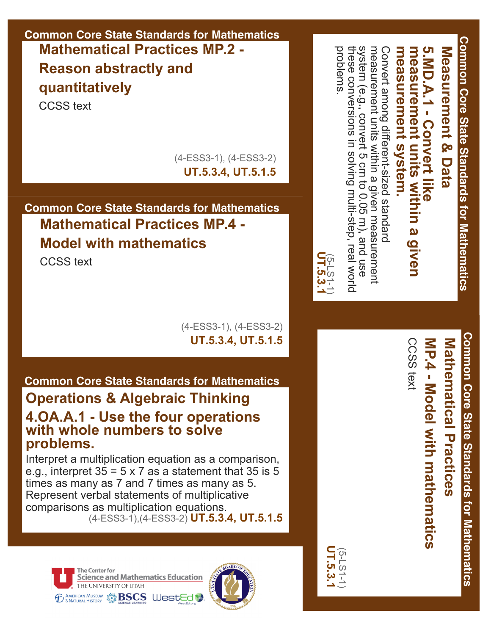**Common Core State Standards for Mathematics Mathematical Practices MP.2 Reason abstractly and quantitatively**

CCSS text

(4ESS31), (4ESS32) **UT.5.3.4, UT.5.1.5**

### **Common Core State Standards for Mathematics Mathematical Practices MP.4 Model with mathematics**

CCSS text

(4ESS31), (4ESS32) **UT.5.3.4, UT.5.1.5**

### **Common Core State Standards for Mathematics**

### **Operations & Algebraic Thinking 4.OA.A.1 Use the four operations with whole numbers to solve problems.**

Interpret a multiplication equation as a comparison, e.g., interpret  $35 = 5 \times 7$  as a statement that 35 is 5 times as many as 7 and 7 times as many as 5. Represent verbal statements of multiplicative comparisons as multiplication equations. (4ESS31),(4ESS32) **UT.5.3.4, UT.5.1.5**





measurement units within a given measurement measurement units within a given Convert among different-sized standard Convert among differentsized standard **5.MD.A.1 Convert like** Measurement & Data **measurement system.** measurement system. measurement units within a **measurement 5.MD.A.1 - Convert like Measurement & Data units within a given given** 

**Common Core State Standards for Mathematics**

Common Core State Standards for Mathematics

these conversions in solving multi-step, real world<br>problems. system (e.g., convert 5 cm to 0.05 m), and use these conversions in solving multi-step, real world system (e.g., convert 5 cm to 0.05 m), and use measurement

UT.5.3.1<br>UT.5.3.1

**UT.5.3.1** (5LS11)

**Common Core State Standards for Mathematics** Common Core State Standards for Mathematics

**MP.4 Model**  Mathematical Practices **Mathematical Practices MP.4 - Model with mathematics with mathematics**

CCSS text CCSS text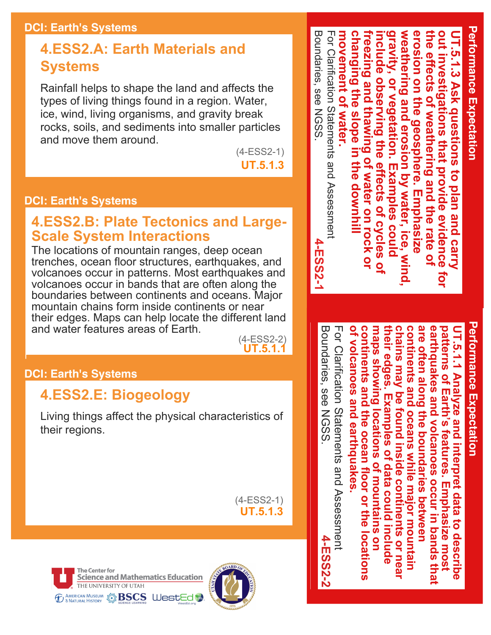#### **DCI: Earth's Systems**

### **4.ESS2.A: Earth Materials and Systems**

Rainfall helps to shape the land and affects the types of living things found in a region. Water, ice, wind, living organisms, and gravity break rocks, soils, and sediments into smaller particles and move them around.

 $(4-ESS2-1)$ 

**UT.5.1.3**

### **DCI: Earth's Systems**

### **4.ESS2.B: Plate Tectonics and Large-Scale System Interactions**

The locations of mountain ranges, deep ocean trenches, ocean floor structures, earthquakes, and volcanoes occur in patterns. Most earthquakes and volcanoes occur in bands that are often along the boundaries between continents and oceans. Major mountain chains form inside continents or near their edges. Maps can help locate the different land and water features areas of Earth.

(4ESS22) **UT.5.1.1** Boundaries, see NGSS.

Boundaries, see NGSS

**4-ESS2-2**

4-ESS2-2

For Clarification Statements and Assessment

For Clarification Statements and Assessment

### **DCI: Earth's Systems**

### **4.ESS2.E: Biogeology**

Living things affect the physical characteristics of their regions.

> $(4-ESS2-1)$ **UT.5.1.3**





Boundaries, see NGSS For Clarification Statements and Assessment **freezing and thawing of water on rock or weathering and erosion by water, ice, wind, the effects of weathering and the rate of**  Boundaries, see NGSS For Clarification Statements and Assessment movement of wate **movement of water.** changing the slope **changing the slope in the downhill include observing the effects of cycles of gravity, or vegetation. Examples could**  erosion on the geosphere. **erosion on the geosphere. Emphasize out investigations that provide evidence for UT.5.1.3 Ask questions to plan and carry**  weathering and erosion by water, ice, he effects of weathering and the rate o reezing and thawing of ut investigations that provide evidence polude **[.5.1.3 Ask questions** or vegetation. observing the e . the downhil **Examples**  $\vec{o}$ **Water on rock ol Hects** plan and carry **Emphasize** of cycles **COUID 4-ESS2-1 4-ESS2-1**  $\bullet$ <u>ਰ</u>

## **Performance Expectation Performance Expectation**

**Performance Expectation**

**Performance Expectation** 

**of volcanoes and earthquakes.**  of volcanoes and earthquakes continents and the ocean floor or the locations **continents and the ocean floor or the locations their edges. Examples of data could include chains may be found inside continents or near continents and oceans while major mountain**  are often along the boundaries between **are often along the boundaries between**  earthquakes and volcanoes occur in bands that **earthquakes and volcanoes occur in bands that maps showing locations of mountains on**  patterns of Earth's features. **patterns of Earth's features. Emphasize most**  UT.5.1.1 **UT.5.1.1 Analyze and interpret data to describe**  maps showing locations of mountains on continents and oceans while major mountain: heir edges. hains may be found inside continents or near **Analyze and interpret Examples of data could include Emphasize** data to describe most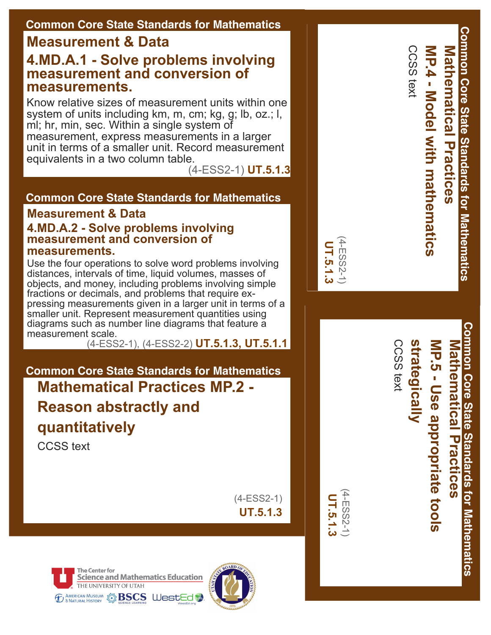### **Common Core State Standards for Mathematics**

### **Measurement & Data**

### **4.MD.A.1 Solve problems involving measurement and conversion of measurements.**

Know relative sizes of measurement units within one system of units including km, m, cm; kg, g; lb, oz.; l, ml; hr, min, sec. Within a single system of measurement, express measurements in a larger unit in terms of a smaller unit. Record measurement equivalents in a two column table.

(4ESS21) **UT.5.1.3**

### **Common Core State Standards for Mathematics**

#### **Measurement & Data 4.MD.A.2 Solve problems involving measurement and conversion of measurements.**

Use the four operations to solve word problems involving distances, intervals of time, liquid volumes, masses of objects, and money, including problems involving simple fractions or decimals, and problems that require expressing measurements given in a larger unit in terms of a smaller unit. Represent measurement quantities using diagrams such as number line diagrams that feature a measurement scale.

(4ESS21), (4ESS22) **UT.5.1.3, UT.5.1.1**

### **Common Core State Standards for Mathematics Mathematical Practices MP.2 Reason abstractly and quantitatively**

CCSS text

 $(4-ESS2-1)$ **UT.5.1.3**





| <b>Common Core State Standards for Mathematics</b><br>Mathematical Practices |
|------------------------------------------------------------------------------|
|                                                                              |

 $\Omega$ 

CCSS text

CCSS text

Common Core State Standards for Mathematics **Common Core State Standards for Mathematics Mathematical Practices** Mathematical Practices

### **strategically MP.5 Use appropriate tools strategically MP.5 - Use appropriate tools**

CCSS text CCSS text

(4ESS21) 4-ESS2-1 UT.5.1.3 **UT.5.1.3**

(4ESS21) **UT.5.1.3**

1-ESS2-1 UT.5.1.3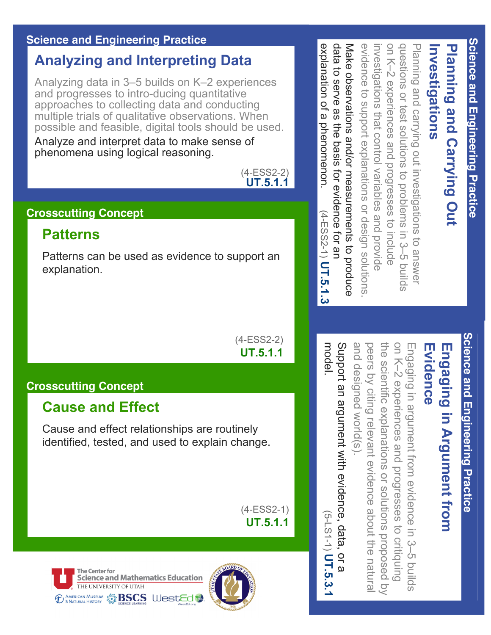### **Science and Engineering Practice**

### **Analyzing and Interpreting Data**

Analyzing data in 3–5 builds on K–2 experiences and progresses to intro-ducing quantitative approaches to collecting data and conducting multiple trials of qualitative observations. When possible and feasible, digital tools should be used.

Analyze and interpret data to make sense of phenomena using logical reasoning.



### **Crosscutting Concept**

### **Patterns**

Patterns can be used as evidence to support an explanation.

> $(4-ESS2-2)$ **UT.5.1.1**

### **Crosscutting Concept**

### **Cause and Effect**

Cause and effect relationships are routinely identified, tested, and used to explain change.

> $(4-ESS2-1)$ **UT.5.1.1**





questions or test solutions to problems in 3-5 builds explanation of a phenomenon. data to serve as the basis for evidence for an data to serve Make observations and/or measurements to produce evidence to support explanations or design solutions investigations that control variables and provide on K-2 experiences and progresses to include on K–2 experiences and progresses to include questions or test solutions to problems in 3–5 builds Planning and carrying out investigations explanation of a phenomenon. Make observations and/or measurements to produce evidence to support Planning and carrying out investigations to answer Investigations **Investigations** Planning and Carrying Out **Planning and Carrying Out**  vestigations that control variables and provide as the basis for evidence for an explanations or design solutions.  $(4 - ESSS2 - 1)$   $UT.5.1.3$ (4ESS21)LO answel  **UT.5.1.3**

> Science and Engineering Practice **Science and Engineering Practice**

### Engaging in Argument from Evidence **Evidence Engaging in Argument from**

and designed world(s) peers by citing relevant evidence about the natural the scientific explanations or solutions proposed by on K-2 experiences and progresses to critiquing and designed world(s). peers by citi the scientifi on K–2 experiences and Engaging in argument from evidence in 3-5 Engaging in argument from evidence in 3–5 builds c explanations or solutions proposed by ng relevant evidence about the natural progresses to criti pling  $\overline{0}$ 

Support an argument with evidence, data, Support an argument with evidence, data, or a (5LS11)  $\overline{a}$ **UT.5.3.1** $\omega$ 

model.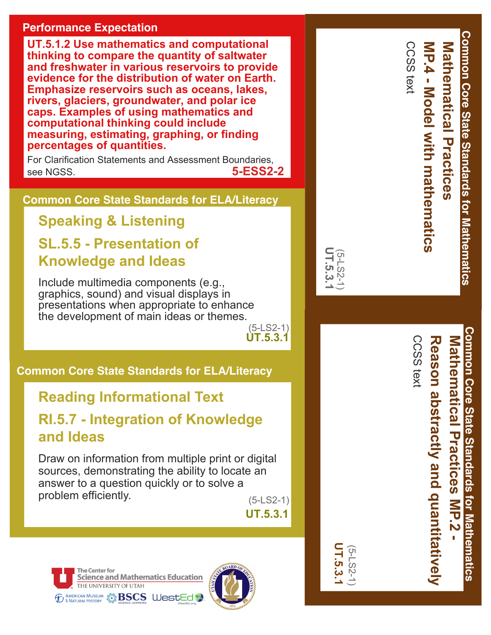### **Performance Expectation**

**UT.5.1.2 Use mathematics and computational thinking to compare the quantity of saltwater and freshwater in various reservoirs to provide evidence for the distribution of water on Earth. Emphasize reservoirs such as oceans, lakes, rivers, glaciers, groundwater, and polar ice caps. Examples of using mathematics and computational thinking could include measuring, estimating, graphing, or finding percentages of quantities.**

For Clarification Statements and Assessment Boundaries, see NGSS. **5-ESS2-2**

**Common Core State Standards for ELA/Literacy**

**Speaking & Listening SL.5.5 Presentation of Knowledge and Ideas**

Include multimedia components (e.g., graphics, sound) and visual displays in presentations when appropriate to enhance the development of main ideas or themes.

> $(5-LS2-1)$ **UT.5.3.1**

**Common Core State Standards for ELA/Literacy**

### **Reading Informational Text**

**RI.5.7 Integration of Knowledge and Ideas**

Draw on information from multiple print or digital sources, demonstrating the ability to locate an answer to a question quickly or to solve a problem efficiently. (5-LS2-1)

**UT.5.3.1**

**UT.5.3.1** (5LS21)

**UT.5.3.1** (5LS21)





| Common Core State Standards for Mathematics<br>CCSS text<br>Mathematical Practices<br><b>NP.4 - Model with mathematics</b> |
|----------------------------------------------------------------------------------------------------------------------------|
|----------------------------------------------------------------------------------------------------------------------------|



CCSS text

CCSS text

Common Core State Standards for Mathematics **Mathematical Practices MP.2 Mathematical Practices**

**Common Core State Standards for Mathematics**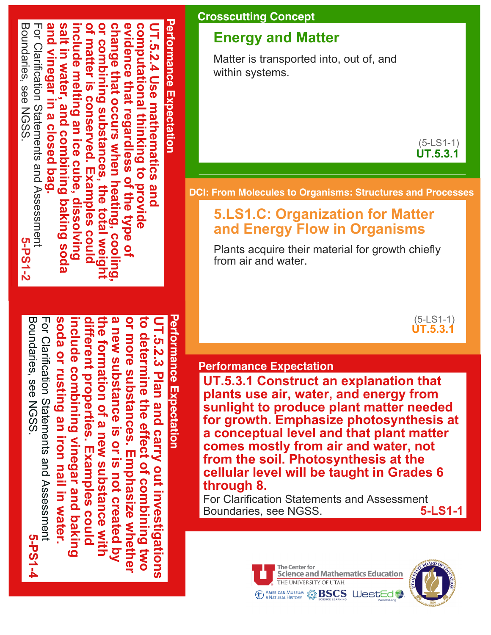#### **Performance Expectation Performance Expectation** Boundaries, see NGSS Boundaries, see NGSS. For Clarification Statements and Assessment For Clarification Statements and Assessment and vinegar in a closed bag **and vinegar in a closed bag.**  salt in water, and combining baking soda **salt in water, and combining baking soda include melting an ice cube, dissolving of matter is conserved. Examples could**  or combining substances, the total weig **or combining substances, the total weight**  change that occurs when heating, cooling **change that occurs when heating, cooling,**  evidence that regardless of the type of **evidence that regardless of the type of computational thinking to provide UT.5.2.4 Use mathematics and**  of matter is conserved. Examples could computational thinking to provide **JT.5.2.4 Use mathematics and** nclude melting an ice cube, dissolving **5-PS1-2**

**Performance Expectation Performance Expectation** Boundaries, see NGSS For Clarification Statements and Assessment soda or rusting an iron nail in water. **soda or rusting an iron nail in water.**  different properties. Examples could **different properties. Examples could the formation of a new substance with a new substance is or is not created by**  a new substance is or is not created by or more substances. Emphasize whether **or more substances. Emphasize whether to determine the effect of combining two**  Boundaries, see NGSS. For Clarification Statements and Assessment **include combining vinegar and baking**  the formation of a new substance with **UT.5.2.3 Plan and carry out investigations**  o determine the effect of combining two nclude combining vinegar and baking IT.5.2.3 Plan and carry out investigations **5-PS1-4**

**Crosscutting Concept**

### **Energy and Matter**

Matter is transported into, out of, and within systems.

> $(5-LS1-1)$ **UT.5.3.1**

#### **DCI: From Molecules to Organisms: Structures and Processes**

### **5.LS1.C: Organization for Matter and Energy Flow in Organisms**

Plants acquire their material for growth chiefly from air and water

> $(5-LS1-1)$ **UT.5.3.1**

#### **Performance Expectation**

**UT.5.3.1 Construct an explanation that plants use air, water, and energy from sunlight to produce plant matter needed for growth. Emphasize photosynthesis at a conceptual level and that plant matter comes mostly from air and water, not from the soil. Photosynthesis at the cellular level will be taught in Grades 6 through 8.** 

For Clarification Statements and Assessment<br>Boundaries, see NGSS. 5-LS1-1 Boundaries, see NGSS.

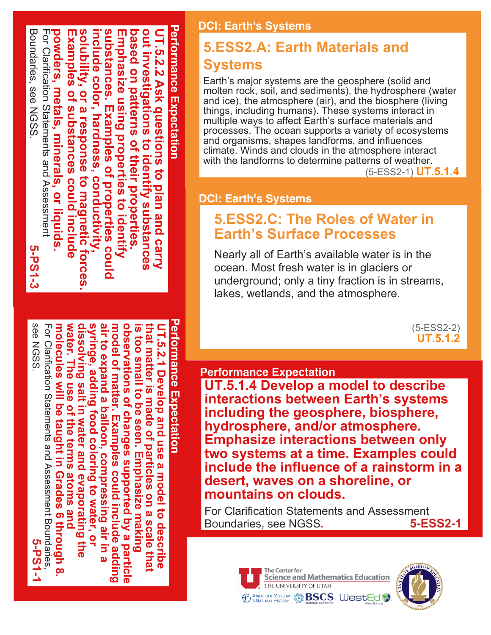

### **Performance Expectation** water. The use of the terms atoms and **water. The use of the terms atoms and dissolving salt in water and evaporating the**  syringe, adding food coloring to water, or **syringe, adding food coloring to water, or**  air to expand a balloon, compressing air in a **air to expand a balloon, compressing air in a model of matter. Examples could include adding**  observations of changes supported by a particle **observations of changes supported by a particle is too small to be seen. Emphasize making that matter is made of particles on a scale that**  UT.5.2.1 Develop and use a model to describe **UT.5.2.1 Develop and use a model to describe**  erformance Expectation dissolving salt in water and evaporating the model of matter. Examples could include is too small to be seen. Emphasize making hat matter is made of particles on a scale that

galding

see NGSS.

molecules

**Mill be** 

taught in Grades 6 through 8

see NGSS

For Clarification Statements and Assessment Boundaries, **molecules will be taught in Grades 6 through 8.** 

For Clarification Statements and Assessment Bornolaries

**5-PS1-1**

### **DCI: Earth's Systems**

### **5.ESS2.A: Earth Materials and Systems**

Earth's major systems are the geosphere (solid and molten rock, soil, and sediments), the hydrosphere (water and ice), the atmosphere (air), and the biosphere (living things, including humans). These systems interact in multiple ways to affect Earth's surface materials and processes. The ocean supports a variety of ecosystems and organisms, shapes landforms, and influences climate. Winds and clouds in the atmosphere interact with the landforms to determine patterns of weather.

(5ESS21) **UT.5.1.4**

### **DCI: Earth's Systems**

### **5.ESS2.C: The Roles of Water in Earth's Surface Processes**

Nearly all of Earth's available water is in the ocean. Most fresh water is in glaciers or underground; only a tiny fraction is in streams, lakes, wetlands, and the atmosphere.

> $(5-ESS2-2)$ **UT.5.1.2**

### **Performance Expectation**

**UT.5.1.4 Develop a model to describe interactions between Earth's systems including the geosphere, biosphere, hydrosphere, and/or atmosphere. Emphasize interactions between only two systems at a time. Examples could include the influence of a rainstorm in a desert, waves on a shoreline, or mountains on clouds.**

For Clarification Statements and Assessment<br>Boundaries, see NGSS. 67-1 Boundaries, see NGSS.